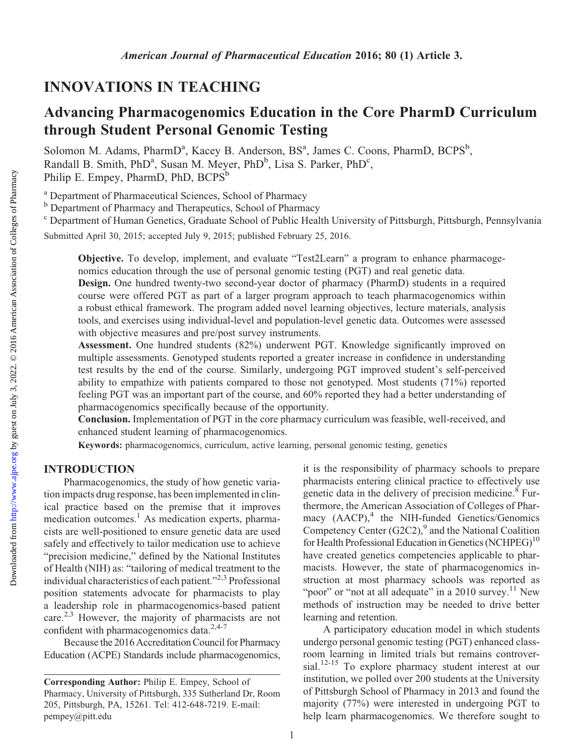# INNOVATIONS IN TEACHING

# Advancing Pharmacogenomics Education in the Core PharmD Curriculum through Student Personal Genomic Testing

Solomon M. Adams, PharmD<sup>a</sup>, Kacey B. Anderson, BS<sup>a</sup>, James C. Coons, PharmD, BCPS<sup>b</sup>, Randall B. Smith, PhD<sup>a</sup>, Susan M. Meyer, PhD<sup>b</sup>, Lisa S. Parker, PhD<sup>c</sup>, Philip E. Empey, PharmD, PhD, BCPS<sup>b</sup>

<sup>a</sup> Department of Pharmaceutical Sciences, School of Pharmacy

**b** Department of Pharmacy and Therapeutics, School of Pharmacy

<sup>c</sup> Department of Human Genetics, Graduate School of Public Health University of Pittsburgh, Pittsburgh, Pennsylvania

Submitted April 30, 2015; accepted July 9, 2015; published February 25, 2016.

Objective. To develop, implement, and evaluate "Test2Learn" a program to enhance pharmacogenomics education through the use of personal genomic testing (PGT) and real genetic data.

Design. One hundred twenty-two second-year doctor of pharmacy (PharmD) students in a required course were offered PGT as part of a larger program approach to teach pharmacogenomics within a robust ethical framework. The program added novel learning objectives, lecture materials, analysis tools, and exercises using individual-level and population-level genetic data. Outcomes were assessed with objective measures and pre/post survey instruments.

Assessment. One hundred students (82%) underwent PGT. Knowledge significantly improved on multiple assessments. Genotyped students reported a greater increase in confidence in understanding test results by the end of the course. Similarly, undergoing PGT improved student's self-perceived ability to empathize with patients compared to those not genotyped. Most students (71%) reported feeling PGT was an important part of the course, and 60% reported they had a better understanding of pharmacogenomics specifically because of the opportunity.

Conclusion. Implementation of PGT in the core pharmacy curriculum was feasible, well-received, and enhanced student learning of pharmacogenomics.

Keywords: pharmacogenomics, curriculum, active learning, personal genomic testing, genetics

# INTRODUCTION

<http://www.ajpe.org>

Downloaded from

Pharmacogenomics, the study of how genetic variation impacts drug response, has been implemented in clinical practice based on the premise that it improves medication outcomes.<sup>1</sup> As medication experts, pharmacists are well-positioned to ensure genetic data are used safely and effectively to tailor medication use to achieve "precision medicine," defined by the National Institutes of Health (NIH) as: "tailoring of medical treatment to the individual characteristics of each patient."2,3 Professional position statements advocate for pharmacists to play a leadership role in pharmacogenomics-based patient care.<sup>2,3</sup> However, the majority of pharmacists are not confident with pharmacogenomics data.<sup>2,4-7</sup>

Because the 2016 Accreditation Council for Pharmacy Education (ACPE) Standards include pharmacogenomics,

it is the responsibility of pharmacy schools to prepare pharmacists entering clinical practice to effectively use genetic data in the delivery of precision medicine.<sup>8</sup> Furthermore, the American Association of Colleges of Pharmacy  $(AACP)$ ,<sup>4</sup> the NIH-funded Genetics/Genomics Competency Center  $(G2C2)$ , and the National Coalition for Health Professional Education in Genetics (NCHPEG)<sup>10</sup> have created genetics competencies applicable to pharmacists. However, the state of pharmacogenomics instruction at most pharmacy schools was reported as "poor" or "not at all adequate" in a 2010 survey.<sup>11</sup> New methods of instruction may be needed to drive better learning and retention.

A participatory education model in which students undergo personal genomic testing (PGT) enhanced classroom learning in limited trials but remains controversial.<sup>12-15</sup> To explore pharmacy student interest at our institution, we polled over 200 students at the University of Pittsburgh School of Pharmacy in 2013 and found the majority (77%) were interested in undergoing PGT to help learn pharmacogenomics. We therefore sought to

Corresponding Author: Philip E. Empey, School of Pharmacy, University of Pittsburgh, 335 Sutherland Dr, Room 205, Pittsburgh, PA, 15261. Tel: 412-648-7219. E-mail: [pempey@pitt.edu](mailto:pempey@pitt.edu)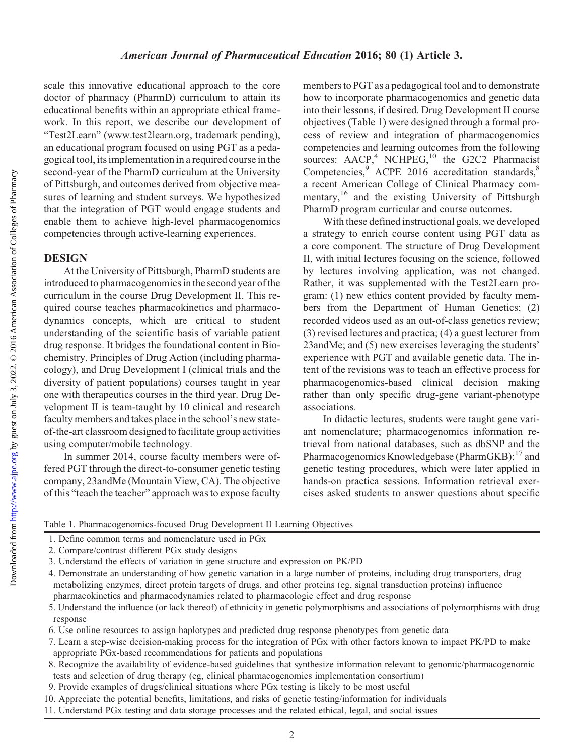scale this innovative educational approach to the core doctor of pharmacy (PharmD) curriculum to attain its educational benefits within an appropriate ethical framework. In this report, we describe our development of "Test2Learn" [\(www.test2learn.org,](http://(www.test2learn.org/) trademark pending), an educational program focused on using PGT as a pedagogical tool, its implementation in a required course in the second-year of the PharmD curriculum at the University of Pittsburgh, and outcomes derived from objective measures of learning and student surveys. We hypothesized that the integration of PGT would engage students and enable them to achieve high-level pharmacogenomics competencies through active-learning experiences.

# DESIGN

At the University of Pittsburgh, PharmD students are introduced to pharmacogenomics in the second year of the curriculum in the course Drug Development II. This required course teaches pharmacokinetics and pharmacodynamics concepts, which are critical to student understanding of the scientific basis of variable patient drug response. It bridges the foundational content in Biochemistry, Principles of Drug Action (including pharmacology), and Drug Development I (clinical trials and the diversity of patient populations) courses taught in year one with therapeutics courses in the third year. Drug Development II is team-taught by 10 clinical and research faculty members and takes place in the school's new stateof-the-art classroom designed to facilitate group activities using computer/mobile technology.

In summer 2014, course faculty members were offered PGT through the direct-to-consumer genetic testing company, 23andMe (Mountain View, CA). The objective of this "teach the teacher" approach was to expose faculty

members to PGT as a pedagogical tool and to demonstrate how to incorporate pharmacogenomics and genetic data into their lessons, if desired. Drug Development II course objectives (Table 1) were designed through a formal process of review and integration of pharmacogenomics competencies and learning outcomes from the following sources: AACP,<sup>4</sup> NCHPEG,<sup>10</sup> the G2C2 Pharmacist Competencies, $9$  ACPE 2016 accreditation standards, $8$ a recent American College of Clinical Pharmacy commentary,<sup>16</sup> and the existing University of Pittsburgh PharmD program curricular and course outcomes.

With these defined instructional goals, we developed a strategy to enrich course content using PGT data as a core component. The structure of Drug Development II, with initial lectures focusing on the science, followed by lectures involving application, was not changed. Rather, it was supplemented with the Test2Learn program: (1) new ethics content provided by faculty members from the Department of Human Genetics; (2) recorded videos used as an out-of-class genetics review; (3) revised lectures and practica; (4) a guest lecturer from 23andMe; and (5) new exercises leveraging the students' experience with PGT and available genetic data. The intent of the revisions was to teach an effective process for pharmacogenomics-based clinical decision making rather than only specific drug-gene variant-phenotype associations.

In didactic lectures, students were taught gene variant nomenclature; pharmacogenomics information retrieval from national databases, such as dbSNP and the Pharmacogenomics Knowledgebase (PharmGKB); $^{17}$  and genetic testing procedures, which were later applied in hands-on practica sessions. Information retrieval exercises asked students to answer questions about specific

### Table 1. Pharmacogenomics-focused Drug Development II Learning Objectives

- 1. Define common terms and nomenclature used in PGx
- 2. Compare/contrast different PGx study designs
- 3. Understand the effects of variation in gene structure and expression on PK/PD
- 4. Demonstrate an understanding of how genetic variation in a large number of proteins, including drug transporters, drug metabolizing enzymes, direct protein targets of drugs, and other proteins (eg, signal transduction proteins) influence pharmacokinetics and pharmacodynamics related to pharmacologic effect and drug response
- 5. Understand the influence (or lack thereof) of ethnicity in genetic polymorphisms and associations of polymorphisms with drug response
- 6. Use online resources to assign haplotypes and predicted drug response phenotypes from genetic data
- 7. Learn a step-wise decision-making process for the integration of PGx with other factors known to impact PK/PD to make appropriate PGx-based recommendations for patients and populations
- 8. Recognize the availability of evidence-based guidelines that synthesize information relevant to genomic/pharmacogenomic tests and selection of drug therapy (eg, clinical pharmacogenomics implementation consortium)
- 9. Provide examples of drugs/clinical situations where PGx testing is likely to be most useful
- 10. Appreciate the potential benefits, limitations, and risks of genetic testing/information for individuals
- 11. Understand PGx testing and data storage processes and the related ethical, legal, and social issues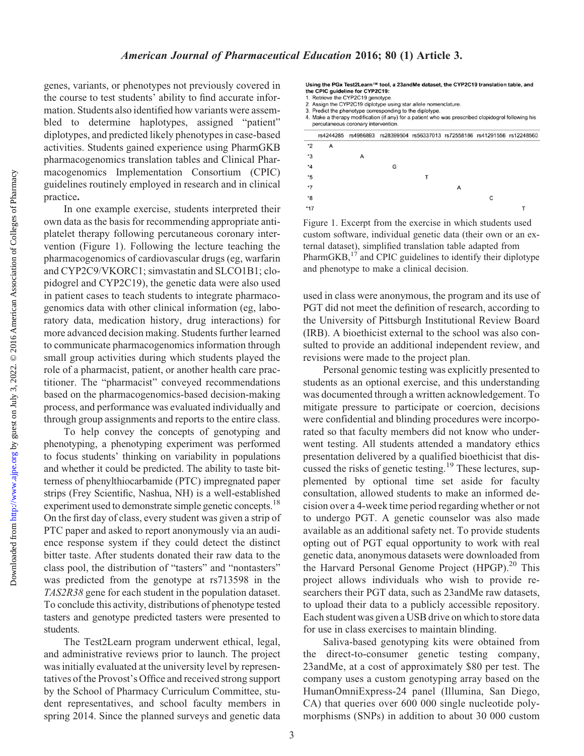genes, variants, or phenotypes not previously covered in the course to test students' ability to find accurate information. Students also identified how variants were assembled to determine haplotypes, assigned "patient" diplotypes, and predicted likely phenotypes in case-based activities. Students gained experience using PharmGKB pharmacogenomics translation tables and Clinical Pharmacogenomics Implementation Consortium (CPIC) guidelines routinely employed in research and in clinical practice.

In one example exercise, students interpreted their own data as the basis for recommending appropriate antiplatelet therapy following percutaneous coronary intervention (Figure 1). Following the lecture teaching the pharmacogenomics of cardiovascular drugs (eg, warfarin and CYP2C9/VKORC1; simvastatin and SLCO1B1; clopidogrel and CYP2C19), the genetic data were also used in patient cases to teach students to integrate pharmacogenomics data with other clinical information (eg, laboratory data, medication history, drug interactions) for more advanced decision making. Students further learned to communicate pharmacogenomics information through small group activities during which students played the role of a pharmacist, patient, or another health care practitioner. The "pharmacist" conveyed recommendations based on the pharmacogenomics-based decision-making process, and performance was evaluated individually and through group assignments and reports to the entire class.

To help convey the concepts of genotyping and phenotyping, a phenotyping experiment was performed to focus students' thinking on variability in populations and whether it could be predicted. The ability to taste bitterness of phenylthiocarbamide (PTC) impregnated paper strips (Frey Scientific, Nashua, NH) is a well-established experiment used to demonstrate simple genetic concepts.<sup>18</sup> On the first day of class, every student was given a strip of PTC paper and asked to report anonymously via an audience response system if they could detect the distinct bitter taste. After students donated their raw data to the class pool, the distribution of "tasters" and "nontasters" was predicted from the genotype at rs713598 in the TAS2R38 gene for each student in the population dataset. To conclude this activity, distributions of phenotype tested tasters and genotype predicted tasters were presented to students.

The Test2Learn program underwent ethical, legal, and administrative reviews prior to launch. The project was initially evaluated at the university level by representatives of the Provost's Office and received strong support by the School of Pharmacy Curriculum Committee, student representatives, and school faculty members in spring 2014. Since the planned surveys and genetic data

Using the PGx Test2Learn™ tool, a 23andMe dataset, the CYP2C19 translation table, and the CPIC guideline for CYP2C19:

1. Retrieve the CYP2C19 genotype.<br>2. Assign the CYP2C19 diplotype using star allele nomenclature

Predict the phenotype corresponding to the diplotype.

4. Make a therapy modification (if any) for a patient who was prescribed clopidogrel following his percutaneous coronary intervention

|                   |   |   | rs4244285 rs4986893 rs28399504 rs56337013 rs72558186 rs41291556 rs12248560 |   |   |  |
|-------------------|---|---|----------------------------------------------------------------------------|---|---|--|
| *2                | A |   |                                                                            |   |   |  |
| *3                |   | A |                                                                            |   |   |  |
| $^*$ <sub>4</sub> |   |   | G                                                                          |   |   |  |
| *5                |   |   |                                                                            |   |   |  |
| *7                |   |   |                                                                            | А |   |  |
| *8                |   |   |                                                                            |   | C |  |
| *17               |   |   |                                                                            |   |   |  |

Figure 1. Excerpt from the exercise in which students used custom software, individual genetic data (their own or an external dataset), simplified translation table adapted from PharmGKB, $17$  and CPIC guidelines to identify their diplotype and phenotype to make a clinical decision.

used in class were anonymous, the program and its use of PGT did not meet the definition of research, according to the University of Pittsburgh Institutional Review Board (IRB). A bioethicist external to the school was also consulted to provide an additional independent review, and revisions were made to the project plan.

Personal genomic testing was explicitly presented to students as an optional exercise, and this understanding was documented through a written acknowledgement. To mitigate pressure to participate or coercion, decisions were confidential and blinding procedures were incorporated so that faculty members did not know who underwent testing. All students attended a mandatory ethics presentation delivered by a qualified bioethicist that discussed the risks of genetic testing.<sup>19</sup> These lectures, supplemented by optional time set aside for faculty consultation, allowed students to make an informed decision over a 4-week time period regarding whether or not to undergo PGT. A genetic counselor was also made available as an additional safety net. To provide students opting out of PGT equal opportunity to work with real genetic data, anonymous datasets were downloaded from the Harvard Personal Genome Project (HPGP).<sup>20</sup> This project allows individuals who wish to provide researchers their PGT data, such as 23andMe raw datasets, to upload their data to a publicly accessible repository. Each student was given a USB drive on which to store data for use in class exercises to maintain blinding.

Saliva-based genotyping kits were obtained from the direct-to-consumer genetic testing company, 23andMe, at a cost of approximately \$80 per test. The company uses a custom genotyping array based on the HumanOmniExpress-24 panel (Illumina, San Diego, CA) that queries over 600 000 single nucleotide polymorphisms (SNPs) in addition to about 30 000 custom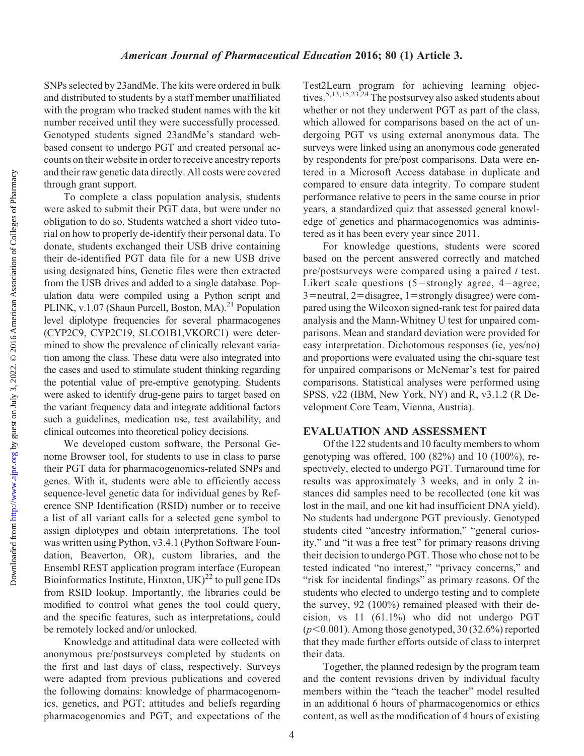SNPs selected by 23andMe. The kits were ordered in bulk and distributed to students by a staff member unaffiliated with the program who tracked student names with the kit number received until they were successfully processed. Genotyped students signed 23andMe's standard webbased consent to undergo PGT and created personal accounts on their website in order to receive ancestry reports and their raw genetic data directly. All costs were covered through grant support.

To complete a class population analysis, students were asked to submit their PGT data, but were under no obligation to do so. Students watched a short video tutorial on how to properly de-identify their personal data. To donate, students exchanged their USB drive containing their de-identified PGT data file for a new USB drive using designated bins, Genetic files were then extracted from the USB drives and added to a single database. Population data were compiled using a Python script and PLINK, v.1.07 (Shaun Purcell, Boston, MA).<sup>21</sup> Population level diplotype frequencies for several pharmacogenes (CYP2C9, CYP2C19, SLCO1B1,VKORC1) were determined to show the prevalence of clinically relevant variation among the class. These data were also integrated into the cases and used to stimulate student thinking regarding the potential value of pre-emptive genotyping. Students were asked to identify drug-gene pairs to target based on the variant frequency data and integrate additional factors such a guidelines, medication use, test availability, and clinical outcomes into theoretical policy decisions.

We developed custom software, the Personal Genome Browser tool, for students to use in class to parse their PGT data for pharmacogenomics-related SNPs and genes. With it, students were able to efficiently access sequence-level genetic data for individual genes by Reference SNP Identification (RSID) number or to receive a list of all variant calls for a selected gene symbol to assign diplotypes and obtain interpretations. The tool was written using Python, v3.4.1 (Python Software Foundation, Beaverton, OR), custom libraries, and the Ensembl REST application program interface (European Bioinformatics Institute, Hinxton,  $UK)^{22}$  to pull gene IDs from RSID lookup. Importantly, the libraries could be modified to control what genes the tool could query, and the specific features, such as interpretations, could be remotely locked and/or unlocked.

Knowledge and attitudinal data were collected with anonymous pre/postsurveys completed by students on the first and last days of class, respectively. Surveys were adapted from previous publications and covered the following domains: knowledge of pharmacogenomics, genetics, and PGT; attitudes and beliefs regarding pharmacogenomics and PGT; and expectations of the

Test2Learn program for achieving learning objectives.5,13,15,23,24 The postsurvey also asked students about whether or not they underwent PGT as part of the class, which allowed for comparisons based on the act of undergoing PGT vs using external anonymous data. The surveys were linked using an anonymous code generated by respondents for pre/post comparisons. Data were entered in a Microsoft Access database in duplicate and compared to ensure data integrity. To compare student performance relative to peers in the same course in prior years, a standardized quiz that assessed general knowledge of genetics and pharmacogenomics was administered as it has been every year since 2011.

For knowledge questions, students were scored based on the percent answered correctly and matched pre/postsurveys were compared using a paired  $t$  test. Likert scale questions  $(5=$ strongly agree,  $4=$ agree,  $3$ =neutral,  $2$ =disagree, 1=strongly disagree) were compared using the Wilcoxon signed-rank test for paired data analysis and the Mann-Whitney U test for unpaired comparisons. Mean and standard deviation were provided for easy interpretation. Dichotomous responses (ie, yes/no) and proportions were evaluated using the chi-square test for unpaired comparisons or McNemar's test for paired comparisons. Statistical analyses were performed using SPSS, v22 (IBM, New York, NY) and R, v3.1.2 (R Development Core Team, Vienna, Austria).

### EVALUATION AND ASSESSMENT

Of the 122 students and 10 faculty members to whom genotyping was offered, 100 (82%) and 10 (100%), respectively, elected to undergo PGT. Turnaround time for results was approximately 3 weeks, and in only 2 instances did samples need to be recollected (one kit was lost in the mail, and one kit had insufficient DNA yield). No students had undergone PGT previously. Genotyped students cited "ancestry information," "general curiosity," and "it was a free test" for primary reasons driving their decision to undergo PGT. Those who chose not to be tested indicated "no interest," "privacy concerns," and "risk for incidental findings" as primary reasons. Of the students who elected to undergo testing and to complete the survey, 92 (100%) remained pleased with their decision, vs 11 (61.1%) who did not undergo PGT  $(p<0.001)$ . Among those genotyped, 30 (32.6%) reported that they made further efforts outside of class to interpret their data.

Together, the planned redesign by the program team and the content revisions driven by individual faculty members within the "teach the teacher" model resulted in an additional 6 hours of pharmacogenomics or ethics content, as well as the modification of 4 hours of existing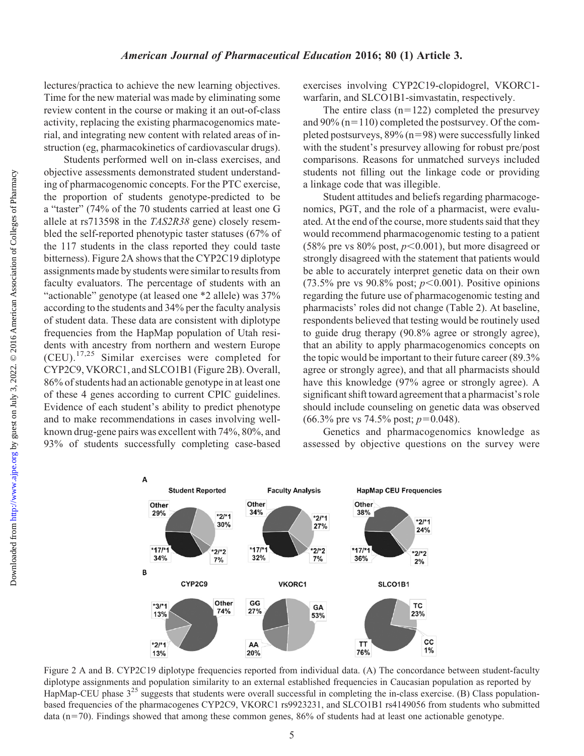lectures/practica to achieve the new learning objectives. Time for the new material was made by eliminating some review content in the course or making it an out-of-class activity, replacing the existing pharmacogenomics material, and integrating new content with related areas of instruction (eg, pharmacokinetics of cardiovascular drugs).

Students performed well on in-class exercises, and objective assessments demonstrated student understanding of pharmacogenomic concepts. For the PTC exercise, the proportion of students genotype-predicted to be a "taster" (74% of the 70 students carried at least one G allele at rs713598 in the TAS2R38 gene) closely resembled the self-reported phenotypic taster statuses (67% of the 117 students in the class reported they could taste bitterness). Figure 2A shows that the CYP2C19 diplotype assignments made by students were similar to results from faculty evaluators. The percentage of students with an "actionable" genotype (at leased one \*2 allele) was 37% according to the students and 34% per the faculty analysis of student data. These data are consistent with diplotype frequencies from the HapMap population of Utah residents with ancestry from northern and western Europe  $(CEU).$ <sup>17,25</sup> Similar exercises were completed for CYP2C9, VKORC1, and SLCO1B1 (Figure 2B). Overall, 86% of students had an actionable genotype in at least one of these 4 genes according to current CPIC guidelines. Evidence of each student's ability to predict phenotype and to make recommendations in cases involving wellknown drug-gene pairs was excellent with 74%, 80%, and 93% of students successfully completing case-based exercises involving CYP2C19-clopidogrel, VKORC1 warfarin, and SLCO1B1-simvastatin, respectively.

The entire class  $(n=122)$  completed the presurvey and  $90\%$  (n=110) completed the postsurvey. Of the completed postsurveys,  $89\%$  (n=98) were successfully linked with the student's presurvey allowing for robust pre/post comparisons. Reasons for unmatched surveys included students not filling out the linkage code or providing a linkage code that was illegible.

Student attitudes and beliefs regarding pharmacogenomics, PGT, and the role of a pharmacist, were evaluated. At the end of the course, more students said that they would recommend pharmacogenomic testing to a patient (58% pre vs 80% post,  $p<0.001$ ), but more disagreed or strongly disagreed with the statement that patients would be able to accurately interpret genetic data on their own (73.5% pre vs 90.8% post;  $p$ <0.001). Positive opinions regarding the future use of pharmacogenomic testing and pharmacists' roles did not change (Table 2). At baseline, respondents believed that testing would be routinely used to guide drug therapy (90.8% agree or strongly agree), that an ability to apply pharmacogenomics concepts on the topic would be important to their future career (89.3% agree or strongly agree), and that all pharmacists should have this knowledge (97% agree or strongly agree). A significant shift toward agreement that a pharmacist's role should include counseling on genetic data was observed  $(66.3\% \text{ pre vs } 74.5\% \text{ post}; p=0.048).$ 

Genetics and pharmacogenomics knowledge as assessed by objective questions on the survey were



Figure 2 A and B. CYP2C19 diplotype frequencies reported from individual data. (A) The concordance between student-faculty diplotype assignments and population similarity to an external established frequencies in Caucasian population as reported by  $HapMap-CEU$  phase  $3^{25}$  suggests that students were overall successful in completing the in-class exercise. (B) Class populationbased frequencies of the pharmacogenes CYP2C9, VKORC1 rs9923231, and SLCO1B1 rs4149056 from students who submitted data  $(n=70)$ . Findings showed that among these common genes, 86% of students had at least one actionable genotype.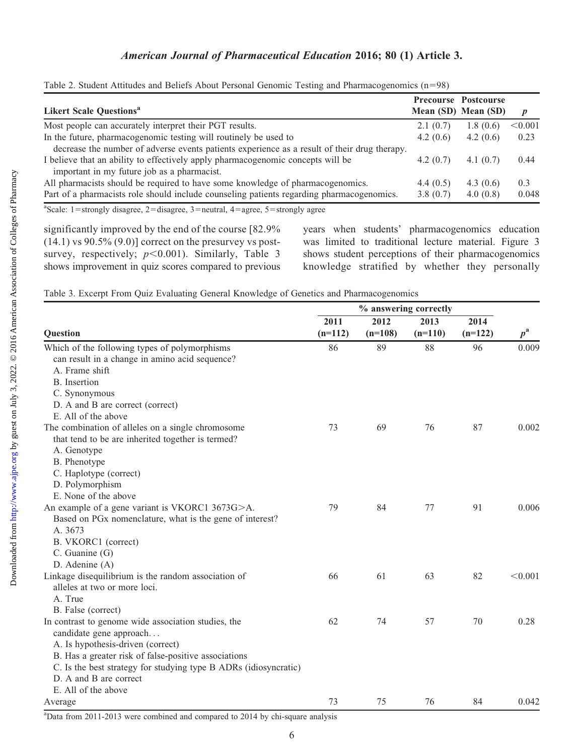# American Journal of Pharmaceutical Education 2016; 80 (1) Article 3.

| <b>Likert Scale Questions<sup>a</sup></b>                                                                                                                        |          | <b>Precourse Postcourse</b><br>Mean (SD) Mean (SD) | $\boldsymbol{p}$ |
|------------------------------------------------------------------------------------------------------------------------------------------------------------------|----------|----------------------------------------------------|------------------|
| Most people can accurately interpret their PGT results.                                                                                                          | 2.1(0.7) | 1.8(0.6)                                           | < 0.001          |
| In the future, pharmacogenomic testing will routinely be used to<br>decrease the number of adverse events patients experience as a result of their drug therapy. | 4.2(0.6) | 4.2 $(0.6)$                                        | 0.23             |
| I believe that an ability to effectively apply pharmacogenomic concepts will be<br>important in my future job as a pharmacist.                                   | 4.2(0.7) | 4.1 $(0.7)$                                        | 0.44             |
| All pharmacists should be required to have some knowledge of pharmacogenomics.                                                                                   | 4.4(0.5) | 4.3 $(0.6)$                                        | 0.3              |
| Part of a pharmacists role should include counseling patients regarding pharmacogenomics.                                                                        | 3.8(0.7) | 4.0(0.8)                                           | 0.048            |

| Table 2. Student Attitudes and Beliefs About Personal Genomic Testing and Pharmacogenomics (n=98) |  |  |  |  |
|---------------------------------------------------------------------------------------------------|--|--|--|--|
|                                                                                                   |  |  |  |  |

 $a^2$ Scale: 1=strongly disagree, 2=disagree, 3=neutral, 4=agree, 5=strongly agree

significantly improved by the end of the course [82.9%  $(14.1)$  vs  $90.5\%$   $(9.0)$ ] correct on the presurvey vs postsurvey, respectively;  $p<0.001$ ). Similarly, Table 3 shows improvement in quiz scores compared to previous years when students' pharmacogenomics education was limited to traditional lecture material. Figure 3 shows student perceptions of their pharmacogenomics knowledge stratified by whether they personally

|  |  |  |  |  |  |  | Table 3. Excerpt From Quiz Evaluating General Knowledge of Genetics and Pharmacogenomics |  |
|--|--|--|--|--|--|--|------------------------------------------------------------------------------------------|--|
|--|--|--|--|--|--|--|------------------------------------------------------------------------------------------|--|

|                                                                  | % answering correctly |           |           |           |             |
|------------------------------------------------------------------|-----------------------|-----------|-----------|-----------|-------------|
|                                                                  | 2011                  | 2012      | 2013      | 2014      |             |
| Question                                                         | $(n=112)$             | $(n=108)$ | $(n=110)$ | $(n=122)$ | $p^{\rm a}$ |
| Which of the following types of polymorphisms                    | 86                    | 89        | 88        | 96        | 0.009       |
| can result in a change in amino acid sequence?                   |                       |           |           |           |             |
| A. Frame shift                                                   |                       |           |           |           |             |
| B. Insertion                                                     |                       |           |           |           |             |
| C. Synonymous                                                    |                       |           |           |           |             |
| D. A and B are correct (correct)                                 |                       |           |           |           |             |
| E. All of the above                                              |                       |           |           |           |             |
| The combination of alleles on a single chromosome                | 73                    | 69        | 76        | 87        | 0.002       |
| that tend to be are inherited together is termed?                |                       |           |           |           |             |
| A. Genotype                                                      |                       |           |           |           |             |
| B. Phenotype                                                     |                       |           |           |           |             |
| C. Haplotype (correct)                                           |                       |           |           |           |             |
| D. Polymorphism                                                  |                       |           |           |           |             |
| E. None of the above                                             |                       |           |           |           |             |
| An example of a gene variant is VKORC1 3673G>A.                  | 79                    | 84        | 77        | 91        | 0.006       |
| Based on PGx nomenclature, what is the gene of interest?         |                       |           |           |           |             |
| A. 3673                                                          |                       |           |           |           |             |
| B. VKORC1 (correct)                                              |                       |           |           |           |             |
| C. Guanine (G)                                                   |                       |           |           |           |             |
| D. Adenine (A)                                                   |                       |           |           |           |             |
| Linkage disequilibrium is the random association of              | 66                    | 61        | 63        | 82        | < 0.001     |
| alleles at two or more loci.                                     |                       |           |           |           |             |
| A. True                                                          |                       |           |           |           |             |
| B. False (correct)                                               |                       |           |           |           |             |
| In contrast to genome wide association studies, the              | 62                    | 74        | 57        | 70        | 0.28        |
| candidate gene approach                                          |                       |           |           |           |             |
| A. Is hypothesis-driven (correct)                                |                       |           |           |           |             |
| B. Has a greater risk of false-positive associations             |                       |           |           |           |             |
| C. Is the best strategy for studying type B ADRs (idiosyncratic) |                       |           |           |           |             |
| D. A and B are correct                                           |                       |           |           |           |             |
| E. All of the above                                              |                       |           |           |           |             |
| Average                                                          | 73                    | 75        | 76        | 84        | 0.042       |

<sup>a</sup>Data from 2011-2013 were combined and compared to 2014 by chi-square analysis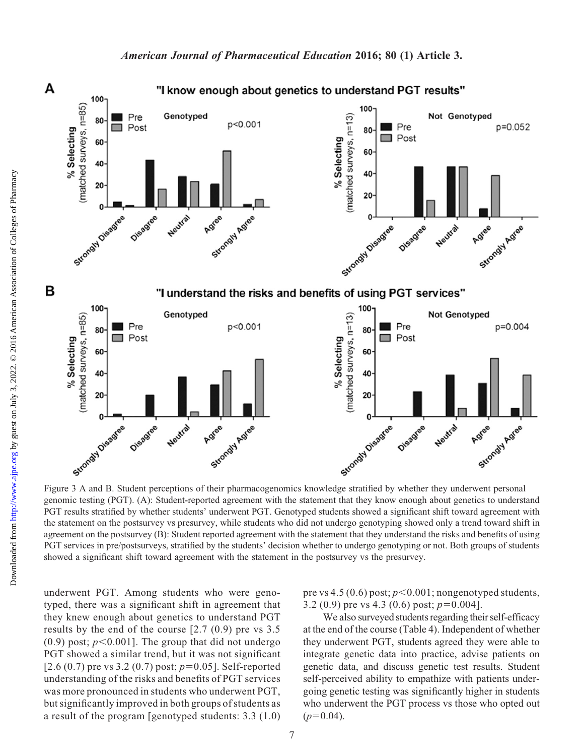

genomic testing (PGT). (A): Student-reported agreement with the statement that they know enough about genetics to understand PGT results stratified by whether students' underwent PGT. Genotyped students showed a significant shift toward agreement with the statement on the postsurvey vs presurvey, while students who did not undergo genotyping showed only a trend toward shift in agreement on the postsurvey (B): Student reported agreement with the statement that they understand the risks and benefits of using PGT services in pre/postsurveys, stratified by the students' decision whether to undergo genotyping or not. Both groups of students showed a significant shift toward agreement with the statement in the postsurvey vs the presurvey.

7

underwent PGT. Among students who were genotyped, there was a significant shift in agreement that they knew enough about genetics to understand PGT results by the end of the course [2.7 (0.9) pre vs 3.5 (0.9) post;  $p<0.001$ . The group that did not undergo PGT showed a similar trend, but it was not significant  $[2.6 (0.7)$  pre vs 3.2 (0.7) post;  $p=0.05$ . Self-reported understanding of the risks and benefits of PGT services was more pronounced in students who underwent PGT, but significantly improved in both groups of students as a result of the program [genotyped students: 3.3 (1.0)

pre vs 4.5 (0.6) post;  $p<0.001$ ; nongenotyped students, 3.2 (0.9) pre vs 4.3 (0.6) post;  $p=0.004$ .

We also surveyed students regarding their self-efficacy at the end of the course (Table 4). Independent of whether they underwent PGT, students agreed they were able to integrate genetic data into practice, advise patients on genetic data, and discuss genetic test results. Student self-perceived ability to empathize with patients undergoing genetic testing was significantly higher in students who underwent the PGT process vs those who opted out  $(p=0.04)$ .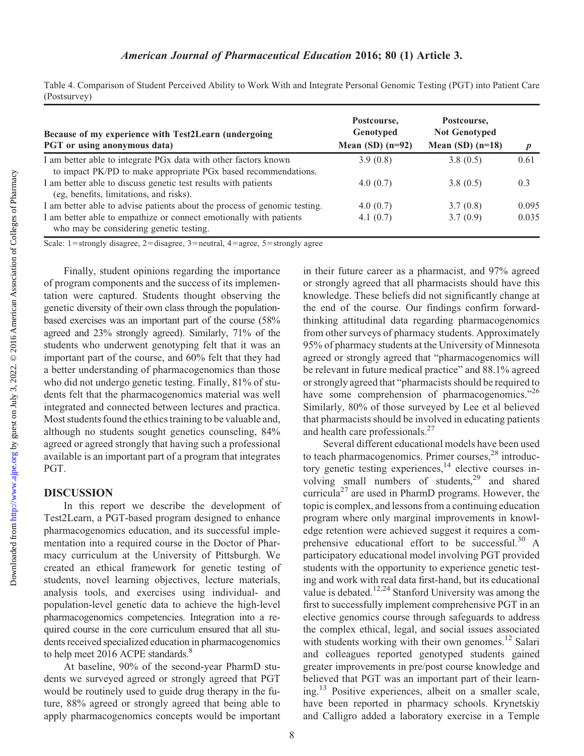| Table 4. Comparison of Student Perceived Ability to Work With and Integrate Personal Genomic Testing (PGT) into Patient Care |  |  |  |
|------------------------------------------------------------------------------------------------------------------------------|--|--|--|
| (Postsurvey)                                                                                                                 |  |  |  |

| Because of my experience with Test2Learn (undergoing<br>PGT or using anonymous data) | Postcourse,<br>Genotyped<br>Mean $(SD)$ $(n=92)$ | Postcourse,<br><b>Not Genotyped</b><br>Mean $(SD)$ (n=18) | p     |
|--------------------------------------------------------------------------------------|--------------------------------------------------|-----------------------------------------------------------|-------|
| I am better able to integrate PGx data with other factors known                      | 3.9(0.8)                                         | 3.8(0.5)                                                  | 0.61  |
| to impact PK/PD to make appropriate PGx based recommendations.                       |                                                  |                                                           |       |
| I am better able to discuss genetic test results with patients                       | 4.0(0.7)                                         | 3.8(0.5)                                                  | 0.3   |
| (eg, benefits, limitations, and risks).                                              |                                                  |                                                           |       |
| I am better able to advise patients about the process of genomic testing.            | 4.0 $(0.7)$                                      | 3.7(0.8)                                                  | 0.095 |
| I am better able to empathize or connect emotionally with patients                   | 4.1 $(0.7)$                                      | 3.7(0.9)                                                  | 0.035 |
| who may be considering genetic testing.                                              |                                                  |                                                           |       |

Scale: 1=strongly disagree, 2=disagree, 3=neutral, 4=agree, 5=strongly agree

Finally, student opinions regarding the importance of program components and the success of its implementation were captured. Students thought observing the genetic diversity of their own class through the populationbased exercises was an important part of the course (58% agreed and 23% strongly agreed). Similarly, 71% of the students who underwent genotyping felt that it was an important part of the course, and 60% felt that they had a better understanding of pharmacogenomics than those who did not undergo genetic testing. Finally, 81% of students felt that the pharmacogenomics material was well integrated and connected between lectures and practica. Most students found the ethics training to be valuable and, although no students sought genetics counseling, 84% agreed or agreed strongly that having such a professional available is an important part of a program that integrates PGT.

# DISCUSSION

In this report we describe the development of Test2Learn, a PGT-based program designed to enhance pharmacogenomics education, and its successful implementation into a required course in the Doctor of Pharmacy curriculum at the University of Pittsburgh. We created an ethical framework for genetic testing of students, novel learning objectives, lecture materials, analysis tools, and exercises using individual- and population-level genetic data to achieve the high-level pharmacogenomics competencies. Integration into a required course in the core curriculum ensured that all students received specialized education in pharmacogenomics to help meet 2016 ACPE standards.<sup>8</sup>

At baseline, 90% of the second-year PharmD students we surveyed agreed or strongly agreed that PGT would be routinely used to guide drug therapy in the future, 88% agreed or strongly agreed that being able to apply pharmacogenomics concepts would be important

in their future career as a pharmacist, and 97% agreed or strongly agreed that all pharmacists should have this knowledge. These beliefs did not significantly change at the end of the course. Our findings confirm forwardthinking attitudinal data regarding pharmacogenomics from other surveys of pharmacy students. Approximately 95% of pharmacy students at the University of Minnesota agreed or strongly agreed that "pharmacogenomics will be relevant in future medical practice" and 88.1% agreed or strongly agreed that "pharmacists should be required to have some comprehension of pharmacogenomics."<sup>26</sup> Similarly, 80% of those surveyed by Lee et al believed that pharmacists should be involved in educating patients and health care professionals.<sup>27</sup>

Several different educational models have been used to teach pharmacogenomics. Primer courses,<sup>28</sup> introductory genetic testing experiences,<sup>14</sup> elective courses involving small numbers of students,<sup>29</sup> and shared curricula<sup>27</sup> are used in PharmD programs. However, the topic is complex, and lessons from a continuing education program where only marginal improvements in knowledge retention were achieved suggest it requires a comprehensive educational effort to be successful. $30\,$  A participatory educational model involving PGT provided students with the opportunity to experience genetic testing and work with real data first-hand, but its educational value is debated.<sup>12,24</sup> Stanford University was among the first to successfully implement comprehensive PGT in an elective genomics course through safeguards to address the complex ethical, legal, and social issues associated with students working with their own genomes.<sup>12</sup> Salari and colleagues reported genotyped students gained greater improvements in pre/post course knowledge and believed that PGT was an important part of their learning.<sup>13</sup> Positive experiences, albeit on a smaller scale, have been reported in pharmacy schools. Krynetskiy and Calligro added a laboratory exercise in a Temple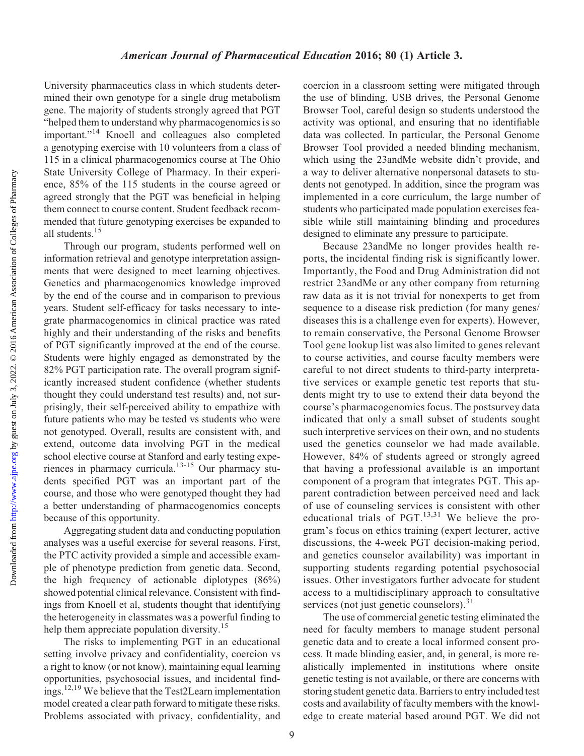University pharmaceutics class in which students determined their own genotype for a single drug metabolism gene. The majority of students strongly agreed that PGT "helped them to understand why pharmacogenomics is so important."<sup>14</sup> Knoell and colleagues also completed a genotyping exercise with 10 volunteers from a class of 115 in a clinical pharmacogenomics course at The Ohio State University College of Pharmacy. In their experience, 85% of the 115 students in the course agreed or agreed strongly that the PGT was beneficial in helping them connect to course content. Student feedback recommended that future genotyping exercises be expanded to all students.15

Through our program, students performed well on information retrieval and genotype interpretation assignments that were designed to meet learning objectives. Genetics and pharmacogenomics knowledge improved by the end of the course and in comparison to previous years. Student self-efficacy for tasks necessary to integrate pharmacogenomics in clinical practice was rated highly and their understanding of the risks and benefits of PGT significantly improved at the end of the course. Students were highly engaged as demonstrated by the 82% PGT participation rate. The overall program significantly increased student confidence (whether students thought they could understand test results) and, not surprisingly, their self-perceived ability to empathize with future patients who may be tested vs students who were not genotyped. Overall, results are consistent with, and extend, outcome data involving PGT in the medical school elective course at Stanford and early testing experiences in pharmacy curricula.<sup>13-15</sup> Our pharmacy students specified PGT was an important part of the course, and those who were genotyped thought they had a better understanding of pharmacogenomics concepts because of this opportunity.

Aggregating student data and conducting population analyses was a useful exercise for several reasons. First, the PTC activity provided a simple and accessible example of phenotype prediction from genetic data. Second, the high frequency of actionable diplotypes (86%) showed potential clinical relevance. Consistent with findings from Knoell et al, students thought that identifying the heterogeneity in classmates was a powerful finding to help them appreciate population diversity.<sup>15</sup>

The risks to implementing PGT in an educational setting involve privacy and confidentiality, coercion vs a right to know (or not know), maintaining equal learning opportunities, psychosocial issues, and incidental findings.12,19 We believe that the Test2Learn implementation model created a clear path forward to mitigate these risks. Problems associated with privacy, confidentiality, and

coercion in a classroom setting were mitigated through the use of blinding, USB drives, the Personal Genome Browser Tool, careful design so students understood the activity was optional, and ensuring that no identifiable data was collected. In particular, the Personal Genome Browser Tool provided a needed blinding mechanism, which using the 23andMe website didn't provide, and a way to deliver alternative nonpersonal datasets to students not genotyped. In addition, since the program was implemented in a core curriculum, the large number of students who participated made population exercises feasible while still maintaining blinding and procedures designed to eliminate any pressure to participate.

Because 23andMe no longer provides health reports, the incidental finding risk is significantly lower. Importantly, the Food and Drug Administration did not restrict 23andMe or any other company from returning raw data as it is not trivial for nonexperts to get from sequence to a disease risk prediction (for many genes/ diseases this is a challenge even for experts). However, to remain conservative, the Personal Genome Browser Tool gene lookup list was also limited to genes relevant to course activities, and course faculty members were careful to not direct students to third-party interpretative services or example genetic test reports that students might try to use to extend their data beyond the course's pharmacogenomics focus. The postsurvey data indicated that only a small subset of students sought such interpretive services on their own, and no students used the genetics counselor we had made available. However, 84% of students agreed or strongly agreed that having a professional available is an important component of a program that integrates PGT. This apparent contradiction between perceived need and lack of use of counseling services is consistent with other educational trials of PGT.<sup>13,31</sup> We believe the program's focus on ethics training (expert lecturer, active discussions, the 4-week PGT decision-making period, and genetics counselor availability) was important in supporting students regarding potential psychosocial issues. Other investigators further advocate for student access to a multidisciplinary approach to consultative services (not just genetic counselors). $31$ 

The use of commercial genetic testing eliminated the need for faculty members to manage student personal genetic data and to create a local informed consent process. It made blinding easier, and, in general, is more realistically implemented in institutions where onsite genetic testing is not available, or there are concerns with storing student genetic data. Barriers to entry included test costs and availability of faculty members with the knowledge to create material based around PGT. We did not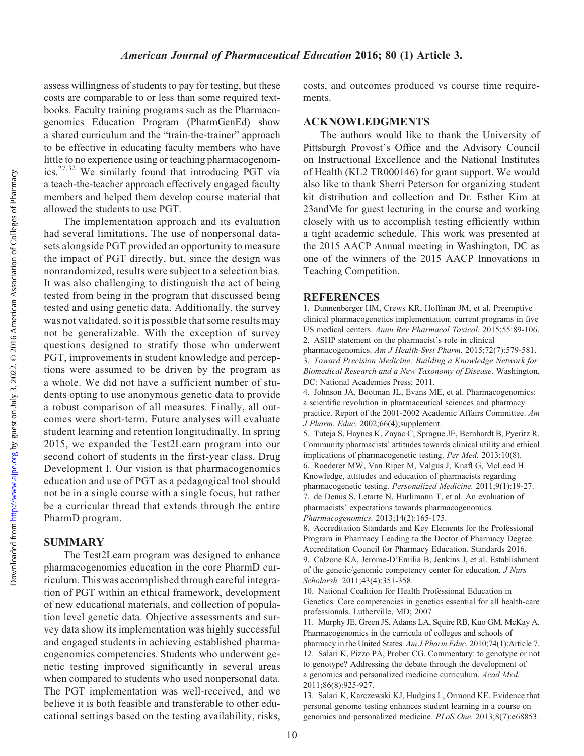assess willingness of students to pay for testing, but these costs are comparable to or less than some required textbooks. Faculty training programs such as the Pharmacogenomics Education Program (PharmGenEd) show a shared curriculum and the "train-the-trainer" approach to be effective in educating faculty members who have little to no experience using or teaching pharmacogenomics.27,32 We similarly found that introducing PGT via a teach-the-teacher approach effectively engaged faculty members and helped them develop course material that allowed the students to use PGT.

The implementation approach and its evaluation had several limitations. The use of nonpersonal datasets alongside PGT provided an opportunity to measure the impact of PGT directly, but, since the design was nonrandomized, results were subject to a selection bias. It was also challenging to distinguish the act of being tested from being in the program that discussed being tested and using genetic data. Additionally, the survey was not validated, so it is possible that some results may not be generalizable. With the exception of survey questions designed to stratify those who underwent PGT, improvements in student knowledge and perceptions were assumed to be driven by the program as a whole. We did not have a sufficient number of students opting to use anonymous genetic data to provide a robust comparison of all measures. Finally, all outcomes were short-term. Future analyses will evaluate student learning and retention longitudinally. In spring 2015, we expanded the Test2Learn program into our second cohort of students in the first-year class, Drug Development I. Our vision is that pharmacogenomics education and use of PGT as a pedagogical tool should not be in a single course with a single focus, but rather be a curricular thread that extends through the entire PharmD program.

### **SUMMARY**

The Test2Learn program was designed to enhance pharmacogenomics education in the core PharmD curriculum. This was accomplished through careful integration of PGT within an ethical framework, development of new educational materials, and collection of population level genetic data. Objective assessments and survey data show its implementation was highly successful and engaged students in achieving established pharmacogenomics competencies. Students who underwent genetic testing improved significantly in several areas when compared to students who used nonpersonal data. The PGT implementation was well-received, and we believe it is both feasible and transferable to other educational settings based on the testing availability, risks,

costs, and outcomes produced vs course time requirements.

# ACKNOWLEDGMENTS

The authors would like to thank the University of Pittsburgh Provost's Office and the Advisory Council on Instructional Excellence and the National Institutes of Health (KL2 TR000146) for grant support. We would also like to thank Sherri Peterson for organizing student kit distribution and collection and Dr. Esther Kim at 23andMe for guest lecturing in the course and working closely with us to accomplish testing efficiently within a tight academic schedule. This work was presented at the 2015 AACP Annual meeting in Washington, DC as one of the winners of the 2015 AACP Innovations in Teaching Competition.

#### **REFERENCES**

1. Dunnenberger HM, Crews KR, Hoffman JM, et al. Preemptive clinical pharmacogenetics implementation: current programs in five US medical centers. Annu Rev Pharmacol Toxicol. 2015;55:89-106. 2. ASHP statement on the pharmacist's role in clinical

pharmacogenomics. Am J Health-Syst Pharm. 2015;72(7):579-581. 3. Toward Precision Medicine: Building a Knowledge Network for Biomedical Research and a New Taxonomy of Disease. Washington, DC: National Academies Press; 2011.

4. Johnson JA, Bootman JL, Evans ME, et al. Pharmacogenomics: a scientific revolution in pharmaceutical sciences and pharmacy practice. Report of the 2001-2002 Academic Affairs Committee. Am J Pharm. Educ. 2002;66(4);supplement.

5. Tuteja S, Haynes K, Zayac C, Sprague JE, Bernhardt B, Pyeritz R. Community pharmacists' attitudes towards clinical utility and ethical implications of pharmacogenetic testing. Per Med. 2013;10(8). 6. Roederer MW, Van Riper M, Valgus J, Knafl G, McLeod H. Knowledge, attitudes and education of pharmacists regarding pharmacogenetic testing. Personalized Medicine. 2011;9(1):19-27. 7. de Denus S, Letarte N, Hurlimann T, et al. An evaluation of pharmacists' expectations towards pharmacogenomics. Pharmacogenomics. 2013;14(2):165-175.

8. Accreditation Standards and Key Elements for the Professional Program in Pharmacy Leading to the Doctor of Pharmacy Degree. Accreditation Council for Pharmacy Education. Standards 2016. 9. Calzone KA, Jerome-D'Emilia B, Jenkins J, et al. Establishment of the genetic/genomic competency center for education. J Nurs Scholarsh. 2011;43(4):351-358.

10. National Coalition for Health Professional Education in Genetics. Core competencies in genetics essential for all health-care professionals. Lutherville, MD; 2007

11. Murphy JE, Green JS, Adams LA, Squire RB, Kuo GM, McKay A. Pharmacogenomics in the curricula of colleges and schools of pharmacy in the United States. Am J Pharm Educ. 2010;74(1):Article 7. 12. Salari K, Pizzo PA, Prober CG. Commentary: to genotype or not to genotype? Addressing the debate through the development of a genomics and personalized medicine curriculum. Acad Med. 2011;86(8):925-927.

13. Salari K, Karczewski KJ, Hudgins L, Ormond KE. Evidence that personal genome testing enhances student learning in a course on genomics and personalized medicine. PLoS One. 2013;8(7):e68853.